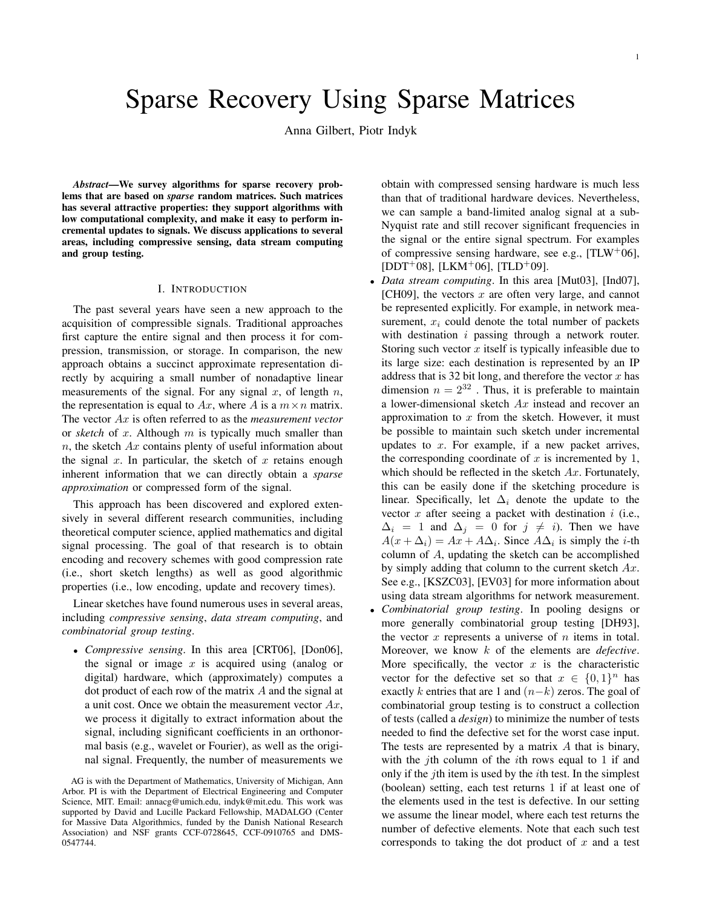# Sparse Recovery Using Sparse Matrices

Anna Gilbert, Piotr Indyk

*Abstract*—We survey algorithms for sparse recovery problems that are based on *sparse* random matrices. Such matrices has several attractive properties: they support algorithms with low computational complexity, and make it easy to perform incremental updates to signals. We discuss applications to several areas, including compressive sensing, data stream computing and group testing.

## I. INTRODUCTION

The past several years have seen a new approach to the acquisition of compressible signals. Traditional approaches first capture the entire signal and then process it for compression, transmission, or storage. In comparison, the new approach obtains a succinct approximate representation directly by acquiring a small number of nonadaptive linear measurements of the signal. For any signal  $x$ , of length  $n$ , the representation is equal to Ax, where A is a  $m \times n$  matrix. The vector Ax is often referred to as the *measurement vector* or *sketch* of x. Although m is typically much smaller than  $n$ , the sketch  $Ax$  contains plenty of useful information about the signal  $x$ . In particular, the sketch of  $x$  retains enough inherent information that we can directly obtain a *sparse approximation* or compressed form of the signal.

This approach has been discovered and explored extensively in several different research communities, including theoretical computer science, applied mathematics and digital signal processing. The goal of that research is to obtain encoding and recovery schemes with good compression rate (i.e., short sketch lengths) as well as good algorithmic properties (i.e., low encoding, update and recovery times).

Linear sketches have found numerous uses in several areas, including *compressive sensing*, *data stream computing*, and *combinatorial group testing*.

• *Compressive sensing*. In this area [CRT06], [Don06], the signal or image  $x$  is acquired using (analog or digital) hardware, which (approximately) computes a dot product of each row of the matrix A and the signal at a unit cost. Once we obtain the measurement vector  $Ax$ , we process it digitally to extract information about the signal, including significant coefficients in an orthonormal basis (e.g., wavelet or Fourier), as well as the original signal. Frequently, the number of measurements we obtain with compressed sensing hardware is much less than that of traditional hardware devices. Nevertheless, we can sample a band-limited analog signal at a sub-Nyquist rate and still recover significant frequencies in the signal or the entire signal spectrum. For examples of compressive sensing hardware, see e.g.,  $[TLW^+06]$ ,  $[DDT+08]$ ,  $[LKM+06]$ ,  $[TLD+09]$ .

- *Data stream computing*. In this area [Mut03], [Ind07], [CH09], the vectors  $x$  are often very large, and cannot be represented explicitly. For example, in network measurement,  $x_i$  could denote the total number of packets with destination  $i$  passing through a network router. Storing such vector  $x$  itself is typically infeasible due to its large size: each destination is represented by an IP address that is 32 bit long, and therefore the vector  $x$  has dimension  $n = 2^{32}$ . Thus, it is preferable to maintain a lower-dimensional sketch Ax instead and recover an approximation to  $x$  from the sketch. However, it must be possible to maintain such sketch under incremental updates to  $x$ . For example, if a new packet arrives, the corresponding coordinate of  $x$  is incremented by 1, which should be reflected in the sketch  $Ax$ . Fortunately, this can be easily done if the sketching procedure is linear. Specifically, let  $\Delta_i$  denote the update to the vector  $x$  after seeing a packet with destination  $i$  (i.e.,  $\Delta_i = 1$  and  $\Delta_j = 0$  for  $j \neq i$ ). Then we have  $A(x + \Delta_i) = Ax + A\Delta_i$ . Since  $A\Delta_i$  is simply the *i*-th column of A, updating the sketch can be accomplished by simply adding that column to the current sketch  $Ax$ . See e.g., [KSZC03], [EV03] for more information about using data stream algorithms for network measurement.
- *Combinatorial group testing*. In pooling designs or more generally combinatorial group testing [DH93], the vector  $x$  represents a universe of  $n$  items in total. Moreover, we know k of the elements are *defective*. More specifically, the vector  $x$  is the characteristic vector for the defective set so that  $x \in \{0,1\}^n$  has exactly k entries that are 1 and  $(n-k)$  zeros. The goal of combinatorial group testing is to construct a collection of tests (called a *design*) to minimize the number of tests needed to find the defective set for the worst case input. The tests are represented by a matrix  $A$  that is binary, with the j<sup>th</sup> column of the *i*th rows equal to 1 if and only if the *j*th item is used by the *i*th test. In the simplest (boolean) setting, each test returns 1 if at least one of the elements used in the test is defective. In our setting we assume the linear model, where each test returns the number of defective elements. Note that each such test corresponds to taking the dot product of  $x$  and a test

AG is with the Department of Mathematics, University of Michigan, Ann Arbor. PI is with the Department of Electrical Engineering and Computer Science, MIT. Email: annacg@umich.edu, indyk@mit.edu. This work was supported by David and Lucille Packard Fellowship, MADALGO (Center for Massive Data Algorithmics, funded by the Danish National Research Association) and NSF grants CCF-0728645, CCF-0910765 and DMS-0547744.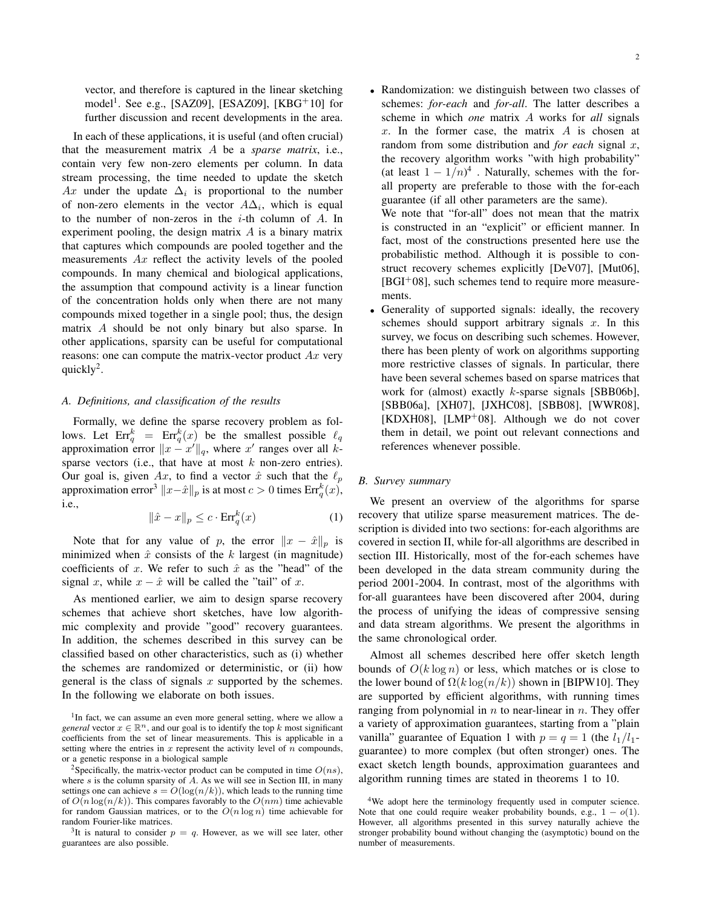vector, and therefore is captured in the linear sketching model<sup>1</sup>. See e.g., [SAZ09], [ESAZ09], [KBG<sup>+</sup>10] for further discussion and recent developments in the area.

In each of these applications, it is useful (and often crucial) that the measurement matrix A be a *sparse matrix*, i.e., contain very few non-zero elements per column. In data stream processing, the time needed to update the sketch Ax under the update  $\Delta_i$  is proportional to the number of non-zero elements in the vector  $A\Delta_i$ , which is equal to the number of non-zeros in the  $i$ -th column of  $A$ . In experiment pooling, the design matrix  $A$  is a binary matrix that captures which compounds are pooled together and the measurements Ax reflect the activity levels of the pooled compounds. In many chemical and biological applications, the assumption that compound activity is a linear function of the concentration holds only when there are not many compounds mixed together in a single pool; thus, the design matrix A should be not only binary but also sparse. In other applications, sparsity can be useful for computational reasons: one can compute the matrix-vector product  $Ax$  very quickly<sup>2</sup>.

# *A. Definitions, and classification of the results*

Formally, we define the sparse recovery problem as follows. Let  $\text{Err}_q^k = \text{Err}_q^k(x)$  be the smallest possible  $\ell_q$ approximation error  $||x - x'||_q$ , where x' ranges over all ksparse vectors (i.e., that have at most  $k$  non-zero entries). Our goal is, given Ax, to find a vector  $\hat{x}$  such that the  $\ell_p$ approximation error<sup>3</sup>  $||x-\hat{x}||_p$  is at most  $c > 0$  times  $\text{Err}_q^k(x)$ , i.e.,

$$
\|\hat{x} - x\|_p \le c \cdot \text{Err}_q^k(x) \tag{1}
$$

Note that for any value of p, the error  $||x - \hat{x}||_p$  is minimized when  $\hat{x}$  consists of the  $k$  largest (in magnitude) coefficients of x. We refer to such  $\hat{x}$  as the "head" of the signal x, while  $x - \hat{x}$  will be called the "tail" of x.

As mentioned earlier, we aim to design sparse recovery schemes that achieve short sketches, have low algorithmic complexity and provide "good" recovery guarantees. In addition, the schemes described in this survey can be classified based on other characteristics, such as (i) whether the schemes are randomized or deterministic, or (ii) how general is the class of signals  $x$  supported by the schemes. In the following we elaborate on both issues.

<sup>1</sup>In fact, we can assume an even more general setting, where we allow a *general* vector  $x \in \mathbb{R}^n$ , and our goal is to identify the top k most significant coefficients from the set of linear measurements. This is applicable in a setting where the entries in x represent the activity level of  $n$  compounds, or a genetic response in a biological sample

• Randomization: we distinguish between two classes of schemes: *for-each* and *for-all*. The latter describes a scheme in which *one* matrix A works for *all* signals  $x$ . In the former case, the matrix  $A$  is chosen at random from some distribution and *for each* signal x, the recovery algorithm works "with high probability" (at least  $1 - 1/n)^4$ . Naturally, schemes with the forall property are preferable to those with the for-each guarantee (if all other parameters are the same). We note that "for-all" does not mean that the matrix

is constructed in an "explicit" or efficient manner. In fact, most of the constructions presented here use the probabilistic method. Although it is possible to construct recovery schemes explicitly [DeV07], [Mut06],  $[BGI<sup>+</sup>08]$ , such schemes tend to require more measurements.

• Generality of supported signals: ideally, the recovery schemes should support arbitrary signals  $x$ . In this survey, we focus on describing such schemes. However, there has been plenty of work on algorithms supporting more restrictive classes of signals. In particular, there have been several schemes based on sparse matrices that work for (almost) exactly k-sparse signals [SBB06b], [SBB06a], [XH07], [JXHC08], [SBB08], [WWR08],  $[KDXH08]$ ,  $[LMP<sup>+</sup>08]$ . Although we do not cover them in detail, we point out relevant connections and references whenever possible.

### *B. Survey summary*

We present an overview of the algorithms for sparse recovery that utilize sparse measurement matrices. The description is divided into two sections: for-each algorithms are covered in section II, while for-all algorithms are described in section III. Historically, most of the for-each schemes have been developed in the data stream community during the period 2001-2004. In contrast, most of the algorithms with for-all guarantees have been discovered after 2004, during the process of unifying the ideas of compressive sensing and data stream algorithms. We present the algorithms in the same chronological order.

Almost all schemes described here offer sketch length bounds of  $O(k \log n)$  or less, which matches or is close to the lower bound of  $\Omega(k \log(n/k))$  shown in [BIPW10]. They are supported by efficient algorithms, with running times ranging from polynomial in  $n$  to near-linear in  $n$ . They offer a variety of approximation guarantees, starting from a "plain vanilla" guarantee of Equation 1 with  $p = q = 1$  (the  $l_1/l_1$ guarantee) to more complex (but often stronger) ones. The exact sketch length bounds, approximation guarantees and algorithm running times are stated in theorems 1 to 10.

<sup>&</sup>lt;sup>2</sup>Specifically, the matrix-vector product can be computed in time  $O(ns)$ , where  $s$  is the column sparsity of  $\overline{A}$ . As we will see in Section III, in many settings one can achieve  $s = O(\log(n/k))$ , which leads to the running time of  $O(n \log(n/k))$ . This compares favorably to the  $O(nm)$  time achievable for random Gaussian matrices, or to the  $O(n \log n)$  time achievable for random Fourier-like matrices.

<sup>&</sup>lt;sup>3</sup>It is natural to consider  $p = q$ . However, as we will see later, other guarantees are also possible.

<sup>4</sup>We adopt here the terminology frequently used in computer science. Note that one could require weaker probability bounds, e.g.,  $1 - o(1)$ . However, all algorithms presented in this survey naturally achieve the stronger probability bound without changing the (asymptotic) bound on the number of measurements.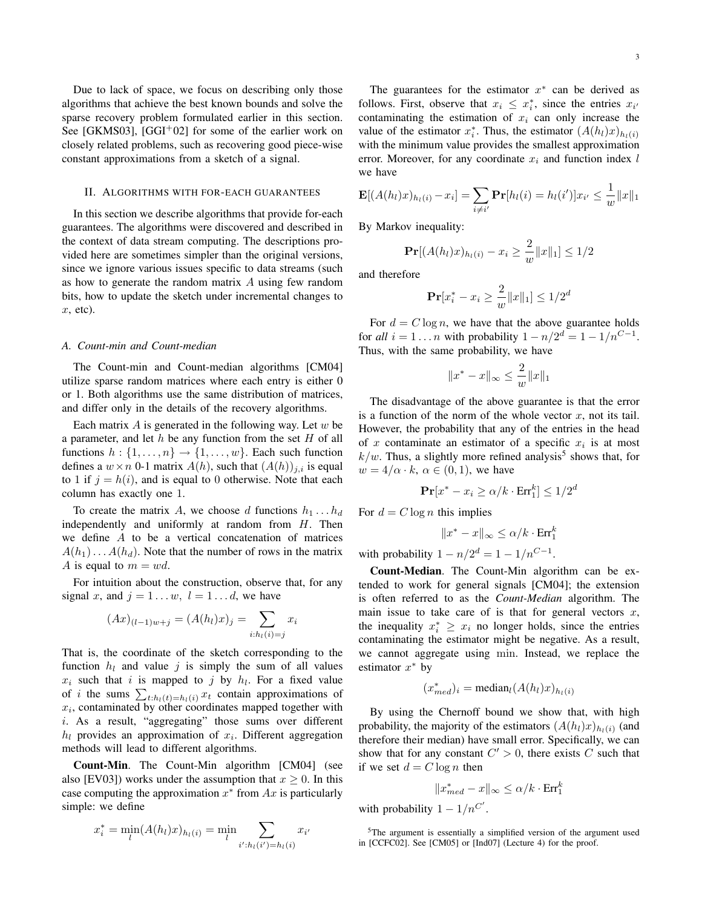#### II. ALGORITHMS WITH FOR-EACH GUARANTEES

In this section we describe algorithms that provide for-each guarantees. The algorithms were discovered and described in the context of data stream computing. The descriptions provided here are sometimes simpler than the original versions, since we ignore various issues specific to data streams (such as how to generate the random matrix A using few random bits, how to update the sketch under incremental changes to  $x$ , etc).

## *A. Count-min and Count-median*

The Count-min and Count-median algorithms [CM04] utilize sparse random matrices where each entry is either 0 or 1. Both algorithms use the same distribution of matrices, and differ only in the details of the recovery algorithms.

Each matrix  $\vec{A}$  is generated in the following way. Let  $w$  be a parameter, and let h be any function from the set  $H$  of all functions  $h: \{1, \ldots, n\} \rightarrow \{1, \ldots, w\}$ . Each such function defines a  $w \times n$  0-1 matrix  $A(h)$ , such that  $(A(h))_{i,i}$  is equal to 1 if  $j = h(i)$ , and is equal to 0 otherwise. Note that each column has exactly one 1.

To create the matrix A, we choose d functions  $h_1 \dots h_d$ independently and uniformly at random from  $H$ . Then we define A to be a vertical concatenation of matrices  $A(h_1) \dots A(h_d)$ . Note that the number of rows in the matrix A is equal to  $m = wd$ .

For intuition about the construction, observe that, for any signal x, and  $j = 1 \dots w$ ,  $l = 1 \dots d$ , we have

$$
(Ax)_{(l-1)w+j} = (A(h_l)x)_j = \sum_{i:h_l(i)=j} x_i
$$

That is, the coordinate of the sketch corresponding to the function  $h_l$  and value j is simply the sum of all values  $x_i$  such that i is mapped to j by  $h_i$ . For a fixed value of *i* the sums  $\sum_{t:h_l(t)=h_l(i)} x_t$  contain approximations of  $x_i$ , contaminated by other coordinates mapped together with i. As a result, "aggregating" those sums over different  $h_l$  provides an approximation of  $x_i$ . Different aggregation methods will lead to different algorithms.

Count-Min. The Count-Min algorithm [CM04] (see also [EV03]) works under the assumption that  $x \ge 0$ . In this case computing the approximation  $x^*$  from  $Ax$  is particularly simple: we define

$$
x_i^* = \min_l (A(h_l)x)_{h_l(i)} = \min_l \sum_{i':h_l(i') = h_l(i)} x_{i'}
$$

The guarantees for the estimator  $x^*$  can be derived as follows. First, observe that  $x_i \leq x_i^*$ , since the entries  $x_i$ contaminating the estimation of  $x_i$  can only increase the value of the estimator  $x_i^*$ . Thus, the estimator  $(A(h_l)x)_{h_l(i)}$ with the minimum value provides the smallest approximation error. Moreover, for any coordinate  $x_i$  and function index l we have

$$
\mathbf{E}[(A(h_l)x)_{h_l(i)} - x_i] = \sum_{i \neq i'} \mathbf{Pr}[h_l(i) = h_l(i')] x_{i'} \leq \frac{1}{w} ||x||_1
$$

By Markov inequality:

$$
\Pr[(A(h_l)x)_{h_l(i)} - x_i \ge \frac{2}{w} ||x||_1] \le 1/2
$$

and therefore

$$
\mathbf{Pr}[x_i^* - x_i \ge \frac{2}{w} ||x||_1] \le 1/2^d
$$

For  $d = C \log n$ , we have that the above guarantee holds for *all*  $i = 1 ... n$  with probability  $1 - n/2^d = 1 - 1/n^{C-1}$ . Thus, with the same probability, we have

$$
||x^*-x||_\infty\leq \frac{2}{w}||x||_1
$$

The disadvantage of the above guarantee is that the error is a function of the norm of the whole vector  $x$ , not its tail. However, the probability that any of the entries in the head of x contaminate an estimator of a specific  $x_i$  is at most  $k/w$ . Thus, a slightly more refined analysis<sup>5</sup> shows that, for  $w = 4/\alpha \cdot k$ ,  $\alpha \in (0,1)$ , we have

$$
\mathbf{Pr}[x^* - x_i \ge \alpha/k \cdot \mathrm{Err}_1^k] \le 1/2^d
$$

For  $d = C \log n$  this implies

$$
||x^* - x||_{\infty} \le \alpha/k \cdot \text{Err}_1^k
$$

with probability  $1 - n/2^d = 1 - 1/n^{C-1}$ .

Count-Median. The Count-Min algorithm can be extended to work for general signals [CM04]; the extension is often referred to as the *Count-Median* algorithm. The main issue to take care of is that for general vectors  $x$ , the inequality  $x_i^* \geq x_i$  no longer holds, since the entries contaminating the estimator might be negative. As a result, we cannot aggregate using min. Instead, we replace the estimator  $x^*$  by

$$
(x_{med}^*)_i = \text{median}_l(A(h_l)x)_{h_l(i)}
$$

By using the Chernoff bound we show that, with high probability, the majority of the estimators  $(A(h_l)x)_{h_l(i)}$  (and therefore their median) have small error. Specifically, we can show that for any constant  $C' > 0$ , there exists C such that if we set  $d = C \log n$  then

$$
||x_{med}^*-x||_{\infty} \le \alpha/k \cdot \mathrm{Err}_1^k
$$

with probability  $1 - 1/n^{C'}$ .

<sup>5</sup>The argument is essentially a simplified version of the argument used in [CCFC02]. See [CM05] or [Ind07] (Lecture 4) for the proof.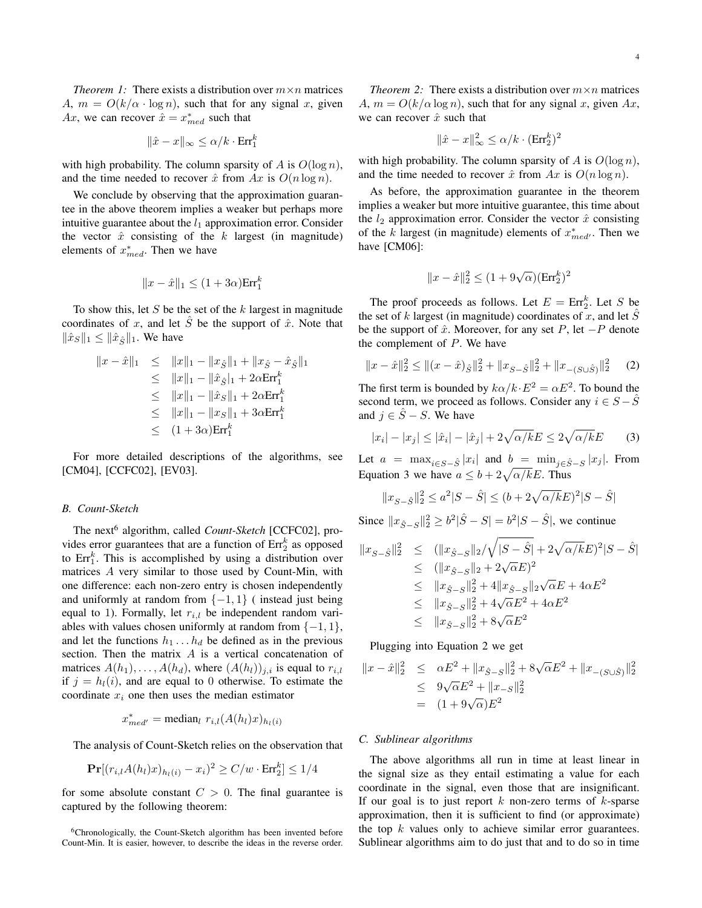*Theorem 1:* There exists a distribution over  $m \times n$  matrices A,  $m = O(k/\alpha \cdot \log n)$ , such that for any signal x, given Ax, we can recover  $\hat{x} = x_{med}^*$  such that

$$
\|\hat{x} - x\|_{\infty} \le \alpha / k \cdot \mathrm{Err}_1^k
$$

with high probability. The column sparsity of A is  $O(\log n)$ , and the time needed to recover  $\hat{x}$  from Ax is  $O(n \log n)$ .

We conclude by observing that the approximation guarantee in the above theorem implies a weaker but perhaps more intuitive guarantee about the  $l_1$  approximation error. Consider the vector  $\hat{x}$  consisting of the k largest (in magnitude) elements of  $x_{med}^*$ . Then we have

$$
||x - \hat{x}||_1 \le (1 + 3\alpha) \text{Err}_1^k
$$

To show this, let  $S$  be the set of the  $k$  largest in magnitude coordinates of x, and let S be the support of  $\hat{x}$ . Note that  $\|\hat{x}_S\|_1 \leq \|\hat{x}_{\hat{S}}\|_1$ . We have

$$
||x - \hat{x}||_1 \le ||x||_1 - ||x_{\hat{S}}||_1 + ||x_{\hat{S}} - \hat{x}_{\hat{S}}||_1
$$
  
\n
$$
\le ||x||_1 - ||\hat{x}_{\hat{S}}||_1 + 2\alpha \text{Err}_1^k
$$
  
\n
$$
\le ||x||_1 - ||\hat{x}_{S}||_1 + 2\alpha \text{Err}_1^k
$$
  
\n
$$
\le ||x||_1 - ||x_{S}||_1 + 3\alpha \text{Err}_1^k
$$
  
\n
$$
\le (1 + 3\alpha) \text{Err}_1^k
$$

For more detailed descriptions of the algorithms, see [CM04], [CCFC02], [EV03].

# *B. Count-Sketch*

The next<sup>6</sup> algorithm, called *Count-Sketch* [CCFC02], provides error guarantees that are a function of  $\text{Err}_2^k$  as opposed to  $Err_1^k$ . This is accomplished by using a distribution over matrices A very similar to those used by Count-Min, with one difference: each non-zero entry is chosen independently and uniformly at random from  $\{-1, 1\}$  (instead just being equal to 1). Formally, let  $r_{i,l}$  be independent random variables with values chosen uniformly at random from  $\{-1, 1\}$ , and let the functions  $h_1 \ldots h_d$  be defined as in the previous section. Then the matrix A is a vertical concatenation of matrices  $A(h_1), \ldots, A(h_d)$ , where  $(A(h_l))_{j,i}$  is equal to  $r_{i,l}$ if  $j = h_l(i)$ , and are equal to 0 otherwise. To estimate the coordinate  $x_i$  one then uses the median estimator

$$
x_{med'}^* = \text{median}_{l} r_{i,l}(A(h_l)x)_{h_l(i)}
$$

The analysis of Count-Sketch relies on the observation that

$$
\Pr[(r_{i,l}A(h_l)x)_{h_l(i)} - x_i)^2 \ge C/w \cdot \text{Err}_2^k] \le 1/4
$$

for some absolute constant  $C > 0$ . The final guarantee is captured by the following theorem:

*Theorem 2:* There exists a distribution over  $m \times n$  matrices  $A, m = O(k/\alpha \log n)$ , such that for any signal x, given Ax, we can recover  $\hat{x}$  such that

$$
\|\hat{x} - x\|_{\infty}^2 \le \alpha / k \cdot (\text{Err}_2^k)^2
$$

with high probability. The column sparsity of A is  $O(\log n)$ , and the time needed to recover  $\hat{x}$  from Ax is  $O(n \log n)$ .

As before, the approximation guarantee in the theorem implies a weaker but more intuitive guarantee, this time about the  $l_2$  approximation error. Consider the vector  $\hat{x}$  consisting of the k largest (in magnitude) elements of  $x_{med}^*$ . Then we have [CM06]:

$$
||x - \hat{x}||_2^2 \le (1 + 9\sqrt{\alpha})(\text{Err}_2^k)^2
$$

The proof proceeds as follows. Let  $E = \text{Err}_2^k$ . Let S be the set of k largest (in magnitude) coordinates of x, and let  $\hat{S}$ be the support of  $\hat{x}$ . Moreover, for any set P, let  $-P$  denote the complement of  $P$ . We have

$$
||x - \hat{x}||_2^2 \le ||(x - \hat{x})_{\hat{S}}||_2^2 + ||x_{S - \hat{S}}||_2^2 + ||x_{-(S \cup \hat{S})}||_2^2 \quad (2)
$$

The first term is bounded by  $k\alpha/k \cdot E^2 = \alpha E^2$ . To bound the second term, we proceed as follows. Consider any  $i \in S - \hat{S}$ and  $j \in \hat{S} - S$ . We have

$$
|x_i| - |x_j| \le |\hat{x}_i| - |\hat{x}_j| + 2\sqrt{\alpha/k}E \le 2\sqrt{\alpha/k}E \qquad (3)
$$

Let  $a = \max_{i \in S - \hat{S}} |x_i|$  and  $b = \min_{j \in \hat{S} - S} |x_j|$ . From Equation 3 we have  $a \leq b + 2\sqrt{\alpha/k}E$ . Thus

$$
||x_{S-\hat{S}}||_2^2 \le a^2|S-\hat{S}| \le (b + 2\sqrt{\alpha/k}E)^2|S-\hat{S}|
$$

Since  $||x_{\hat{S}-S}||_2^2 \ge b^2 |\hat{S}-S| = b^2 |S-\hat{S}|$ , we continue

$$
||x_{S-\hat{S}}||_2^2 \leq (||x_{\hat{S}-S}||_2/\sqrt{|S-\hat{S}|} + 2\sqrt{\alpha/k}E)^2|S-\hat{S}|
$$
  
\n
$$
\leq (||x_{\hat{S}-S}||_2 + 2\sqrt{\alpha}E)^2
$$
  
\n
$$
\leq ||x_{\hat{S}-S}||_2^2 + 4||x_{\hat{S}-S}||_2\sqrt{\alpha}E + 4\alpha E^2
$$
  
\n
$$
\leq ||x_{\hat{S}-S}||_2^2 + 4\sqrt{\alpha}E^2 + 4\alpha E^2
$$
  
\n
$$
\leq ||x_{\hat{S}-S}||_2^2 + 8\sqrt{\alpha}E^2
$$

## Plugging into Equation 2 we get

$$
||x - \hat{x}||_2^2 \leq \alpha E^2 + ||x_{\hat{S}-S}||_2^2 + 8\sqrt{\alpha}E^2 + ||x_{-(S\cup\hat{S})}||_2^2
$$
  
\n
$$
\leq 9\sqrt{\alpha}E^2 + ||x_{-S}||_2^2
$$
  
\n
$$
= (1 + 9\sqrt{\alpha})E^2
$$

### *C. Sublinear algorithms*

The above algorithms all run in time at least linear in the signal size as they entail estimating a value for each coordinate in the signal, even those that are insignificant. If our goal is to just report  $k$  non-zero terms of  $k$ -sparse approximation, then it is sufficient to find (or approximate) the top  $k$  values only to achieve similar error guarantees. Sublinear algorithms aim to do just that and to do so in time

<sup>6</sup>Chronologically, the Count-Sketch algorithm has been invented before Count-Min. It is easier, however, to describe the ideas in the reverse order.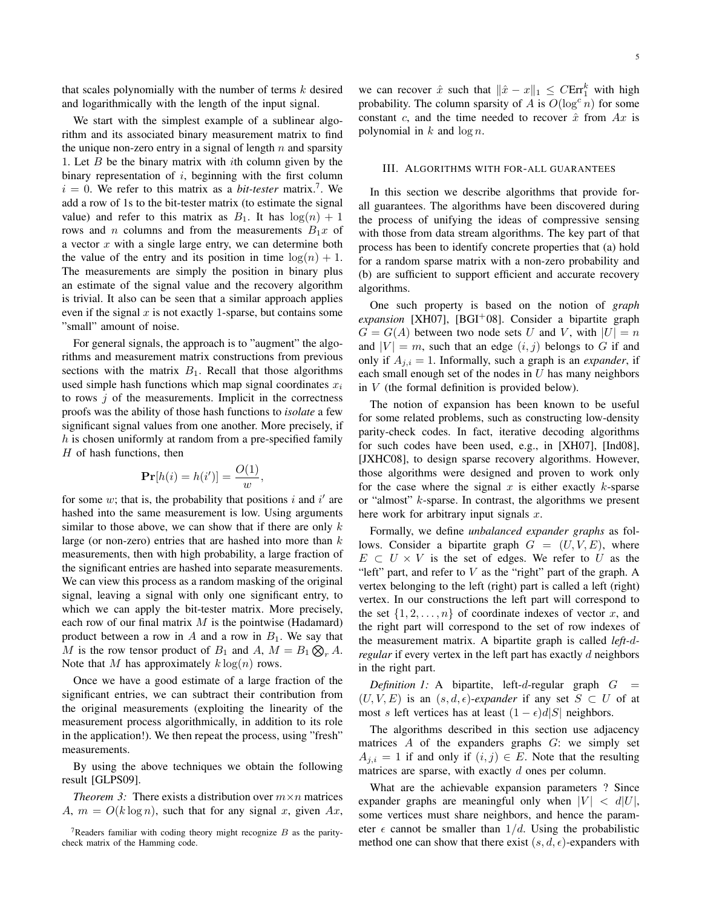that scales polynomially with the number of terms  $k$  desired and logarithmically with the length of the input signal.

We start with the simplest example of a sublinear algorithm and its associated binary measurement matrix to find the unique non-zero entry in a signal of length  $n$  and sparsity 1. Let  $B$  be the binary matrix with *i*th column given by the binary representation of  $i$ , beginning with the first column  $i = 0$ . We refer to this matrix as a *bit-tester* matrix.<sup>7</sup>. We add a row of 1s to the bit-tester matrix (to estimate the signal value) and refer to this matrix as  $B_1$ . It has  $\log(n) + 1$ rows and *n* columns and from the measurements  $B_1x$  of a vector  $x$  with a single large entry, we can determine both the value of the entry and its position in time  $log(n) + 1$ . The measurements are simply the position in binary plus an estimate of the signal value and the recovery algorithm is trivial. It also can be seen that a similar approach applies even if the signal  $x$  is not exactly 1-sparse, but contains some "small" amount of noise.

For general signals, the approach is to "augment" the algorithms and measurement matrix constructions from previous sections with the matrix  $B_1$ . Recall that those algorithms used simple hash functions which map signal coordinates  $x_i$ to rows  $j$  of the measurements. Implicit in the correctness proofs was the ability of those hash functions to *isolate* a few significant signal values from one another. More precisely, if  $h$  is chosen uniformly at random from a pre-specified family  $H$  of hash functions, then

$$
\mathbf{Pr}[h(i) = h(i')] = \frac{O(1)}{w},
$$

for some  $w$ ; that is, the probability that positions  $i$  and  $i'$  are hashed into the same measurement is low. Using arguments similar to those above, we can show that if there are only  $k$ large (or non-zero) entries that are hashed into more than  $k$ measurements, then with high probability, a large fraction of the significant entries are hashed into separate measurements. We can view this process as a random masking of the original signal, leaving a signal with only one significant entry, to which we can apply the bit-tester matrix. More precisely, each row of our final matrix  $M$  is the pointwise (Hadamard) product between a row in  $A$  and a row in  $B_1$ . We say that M is the row tensor product of  $B_1$  and  $A, M = B_1 \bigotimes_r A$ . Note that M has approximately  $k \log(n)$  rows.

Once we have a good estimate of a large fraction of the significant entries, we can subtract their contribution from the original measurements (exploiting the linearity of the measurement process algorithmically, in addition to its role in the application!). We then repeat the process, using "fresh" measurements.

By using the above techniques we obtain the following result [GLPS09].

*Theorem 3:* There exists a distribution over  $m \times n$  matrices A,  $m = O(k \log n)$ , such that for any signal x, given Ax,

we can recover  $\hat{x}$  such that  $\|\hat{x} - x\|_1 \leq C \text{Err}_1^k$  with high probability. The column sparsity of A is  $O(\log^c n)$  for some constant c, and the time needed to recover  $\hat{x}$  from Ax is polynomial in  $k$  and  $\log n$ .

# III. ALGORITHMS WITH FOR-ALL GUARANTEES

In this section we describe algorithms that provide forall guarantees. The algorithms have been discovered during the process of unifying the ideas of compressive sensing with those from data stream algorithms. The key part of that process has been to identify concrete properties that (a) hold for a random sparse matrix with a non-zero probability and (b) are sufficient to support efficient and accurate recovery algorithms.

One such property is based on the notion of *graph expansion* [XH07], [BGI<sup>+</sup>08]. Consider a bipartite graph  $G = G(A)$  between two node sets U and V, with  $|U| = n$ and  $|V| = m$ , such that an edge  $(i, j)$  belongs to G if and only if  $A_{i,i} = 1$ . Informally, such a graph is an *expander*, if each small enough set of the nodes in  $U$  has many neighbors in  $V$  (the formal definition is provided below).

The notion of expansion has been known to be useful for some related problems, such as constructing low-density parity-check codes. In fact, iterative decoding algorithms for such codes have been used, e.g., in [XH07], [Ind08], [JXHC08], to design sparse recovery algorithms. However, those algorithms were designed and proven to work only for the case where the signal  $x$  is either exactly  $k$ -sparse or "almost" k-sparse. In contrast, the algorithms we present here work for arbitrary input signals  $x$ .

Formally, we define *unbalanced expander graphs* as follows. Consider a bipartite graph  $G = (U, V, E)$ , where  $E \subset U \times V$  is the set of edges. We refer to U as the "left" part, and refer to  $V$  as the "right" part of the graph. A vertex belonging to the left (right) part is called a left (right) vertex. In our constructions the left part will correspond to the set  $\{1, 2, \ldots, n\}$  of coordinate indexes of vector x, and the right part will correspond to the set of row indexes of the measurement matrix. A bipartite graph is called *left-*d*regular* if every vertex in the left part has exactly d neighbors in the right part.

*Definition 1:* A bipartite, left-d-regular graph  $G =$  $(U, V, E)$  is an  $(s, d, \epsilon)$ -expander if any set  $S \subset U$  of at most s left vertices has at least  $(1 - \epsilon) d|S|$  neighbors.

The algorithms described in this section use adjacency matrices  $A$  of the expanders graphs  $G$ : we simply set  $A_{i,i} = 1$  if and only if  $(i, j) \in E$ . Note that the resulting matrices are sparse, with exactly d ones per column.

What are the achievable expansion parameters ? Since expander graphs are meaningful only when  $|V| < d|U|$ , some vertices must share neighbors, and hence the parameter  $\epsilon$  cannot be smaller than  $1/d$ . Using the probabilistic method one can show that there exist  $(s, d, \epsilon)$ -expanders with

<sup>&</sup>lt;sup>7</sup>Readers familiar with coding theory might recognize  $B$  as the paritycheck matrix of the Hamming code.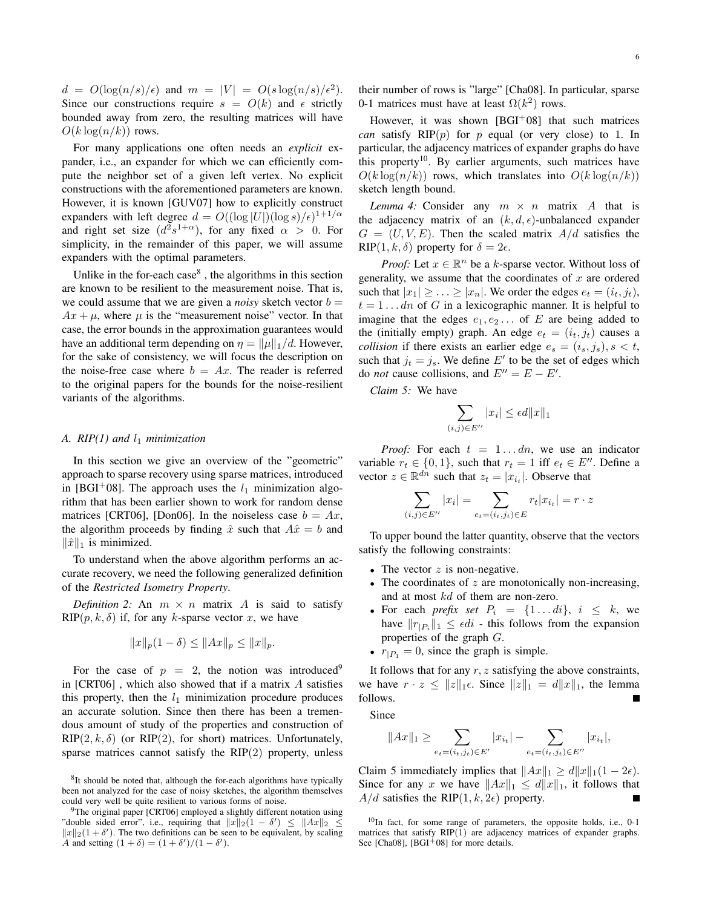For many applications one often needs an *explicit* expander, i.e., an expander for which we can efficiently compute the neighbor set of a given left vertex. No explicit constructions with the aforementioned parameters are known. However, it is known [GUV07] how to explicitly construct expanders with left degree  $d = O((\log |U|)(\log s)/\epsilon)^{1+1/\alpha}$ and right set size  $(d^2s^{1+\alpha})$ , for any fixed  $\alpha > 0$ . For simplicity, in the remainder of this paper, we will assume expanders with the optimal parameters.

Unlike in the for-each case $8$ , the algorithms in this section are known to be resilient to the measurement noise. That is, we could assume that we are given a *noisy* sketch vector  $b =$  $Ax + \mu$ , where  $\mu$  is the "measurement noise" vector. In that case, the error bounds in the approximation guarantees would have an additional term depending on  $\eta = ||\mu||_1/d$ . However, for the sake of consistency, we will focus the description on the noise-free case where  $b = Ax$ . The reader is referred to the original papers for the bounds for the noise-resilient variants of the algorithms.

#### *A. RIP(1) and*  $l_1$  *minimization*

In this section we give an overview of the "geometric" approach to sparse recovery using sparse matrices, introduced in [BGI<sup>+</sup>08]. The approach uses the  $l_1$  minimization algorithm that has been earlier shown to work for random dense matrices [CRT06], [Don06]. In the noiseless case  $b = Ax$ , the algorithm proceeds by finding  $\hat{x}$  such that  $A\hat{x} = b$  and  $\|\hat{x}\|_1$  is minimized.

To understand when the above algorithm performs an accurate recovery, we need the following generalized definition of the *Restricted Isometry Property*.

*Definition 2:* An  $m \times n$  matrix A is said to satisfy  $RIP(p, k, \delta)$  if, for any k-sparse vector x, we have

$$
||x||_p(1-\delta) \le ||Ax||_p \le ||x||_p.
$$

For the case of  $p = 2$ , the notion was introduced<sup>9</sup> in [CRT06] , which also showed that if a matrix A satisfies this property, then the  $l_1$  minimization procedure produces an accurate solution. Since then there has been a tremendous amount of study of the properties and construction of  $RIP(2, k, \delta)$  (or  $RIP(2)$ , for short) matrices. Unfortunately, sparse matrices cannot satisfy the  $RIP(2)$  property, unless

However, it was shown  $[{\rm B}G I^+ 08]$  that such matrices *can* satisfy  $RIP(p)$  for p equal (or very close) to 1. In particular, the adjacency matrices of expander graphs do have this property<sup>10</sup>. By earlier arguments, such matrices have  $O(k \log(n/k))$  rows, which translates into  $O(k \log(n/k))$ sketch length bound.

*Lemma 4:* Consider any  $m \times n$  matrix A that is the adjacency matrix of an  $(k, d, \epsilon)$ -unbalanced expander  $G = (U, V, E)$ . Then the scaled matrix  $A/d$  satisfies the RIP(1, k,  $\delta$ ) property for  $\delta = 2\epsilon$ .

*Proof:* Let  $x \in \mathbb{R}^n$  be a k-sparse vector. Without loss of generality, we assume that the coordinates of  $x$  are ordered such that  $|x_1| \geq \ldots \geq |x_n|$ . We order the edges  $e_t = (i_t, j_t)$ ,  $t = 1 \dots dn$  of G in a lexicographic manner. It is helpful to imagine that the edges  $e_1, e_2, \ldots$  of E are being added to the (initially empty) graph. An edge  $e_t = (i_t, j_t)$  causes a *collision* if there exists an earlier edge  $e_s = (i_s, j_s), s < t$ , such that  $j_t = j_s$ . We define E' to be the set of edges which do *not* cause collisions, and  $E'' = E - E'$ .

*Claim 5:* We have

 $(i)$ 

$$
\sum_{(i,j)\in E''} |x_i| \le \epsilon d ||x||_1
$$

*Proof:* For each  $t = 1...dn$ , we use an indicator variable  $r_t \in \{0, 1\}$ , such that  $r_t = 1$  iff  $e_t \in E''$ . Define a vector  $z \in \mathbb{R}^{dn}$  such that  $z_t = |x_{i_t}|$ . Observe that

$$
\sum_{(j)\in E''} |x_i| = \sum_{e_t = (i_t, j_t) \in E} r_t |x_{i_t}| = r \cdot z
$$

To upper bound the latter quantity, observe that the vectors satisfy the following constraints:

- The vector  $z$  is non-negative.
- The coordinates of  $z$  are monotonically non-increasing, and at most kd of them are non-zero.
- For each *prefix set*  $P_i = \{1 \dots di\}, i \leq k$ , we have  $||r_{P_i}||_1 \le \epsilon di$  - this follows from the expansion properties of the graph  $G$ .
- $r_{|P_1} = 0$ , since the graph is simple.

It follows that for any  $r, z$  satisfying the above constraints, we have  $r \cdot z \le ||z||_1 \epsilon$ . Since  $||z||_1 = d||x||_1$ , the lemma follows.

Since

$$
||Ax||_1 \geq \sum_{e_t = (i_t, j_t) \in E'} |x_{i_t}| - \sum_{e_t = (i_t, j_t) \in E''} |x_{i_t}|,
$$

Claim 5 immediately implies that  $||Ax||_1 \ge d||x||_1(1 - 2\epsilon)$ . Since for any x we have  $||Ax||_1 \le d||x||_1$ , it follows that  $A/d$  satisfies the RIP $(1, k, 2\epsilon)$  property.

<sup>&</sup>lt;sup>8</sup>It should be noted that, although the for-each algorithms have typically been not analyzed for the case of noisy sketches, the algorithm themselves could very well be quite resilient to various forms of noise.

<sup>&</sup>lt;sup>9</sup>The original paper [CRT06] employed a slightly different notation using "double sided error", i.e., requiring that  $||x||_2(1 - \delta') \le ||Ax||_2 \le$  $||x||_2(1 + \delta')$ . The two definitions can be seen to be equivalent, by scaling A and setting  $(1 + \delta) = (1 + \delta')/(1 - \delta')$ .

 $10$ In fact, for some range of parameters, the opposite holds, i.e., 0-1 matrices that satisfy  $RIP(1)$  are adjacency matrices of expander graphs. See [Cha08],  $[BGI<sup>+</sup>08]$  for more details.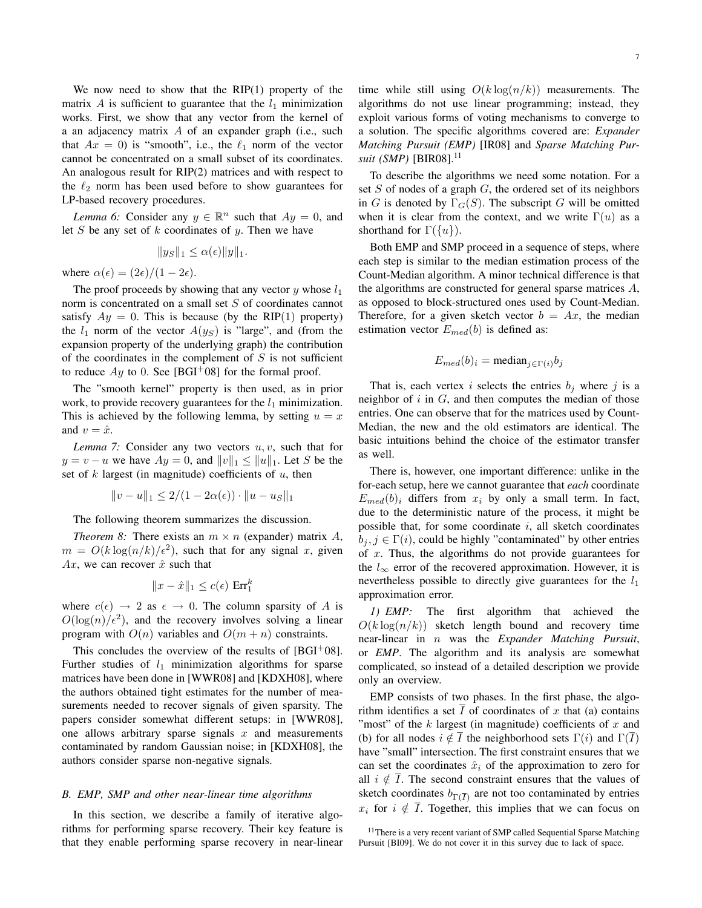We now need to show that the RIP(1) property of the matrix  $A$  is sufficient to guarantee that the  $l_1$  minimization works. First, we show that any vector from the kernel of a an adjacency matrix A of an expander graph (i.e., such that  $Ax = 0$  is "smooth", i.e., the  $\ell_1$  norm of the vector cannot be concentrated on a small subset of its coordinates. An analogous result for RIP(2) matrices and with respect to the  $\ell_2$  norm has been used before to show guarantees for LP-based recovery procedures.

*Lemma 6:* Consider any  $y \in \mathbb{R}^n$  such that  $Ay = 0$ , and let S be any set of  $k$  coordinates of  $y$ . Then we have

$$
||y_S||_1 \le \alpha(\epsilon) ||y||_1.
$$

where  $\alpha(\epsilon) = (2\epsilon)/(1 - 2\epsilon)$ .

The proof proceeds by showing that any vector  $y$  whose  $l_1$ norm is concentrated on a small set S of coordinates cannot satisfy  $Ay = 0$ . This is because (by the RIP(1) property) the  $l_1$  norm of the vector  $A(y_S)$  is "large", and (from the expansion property of the underlying graph) the contribution of the coordinates in the complement of  $S$  is not sufficient to reduce  $Ay$  to 0. See [BGI<sup>+</sup>08] for the formal proof.

The "smooth kernel" property is then used, as in prior work, to provide recovery guarantees for the  $l_1$  minimization. This is achieved by the following lemma, by setting  $u = x$ and  $v = \hat{x}$ .

*Lemma 7:* Consider any two vectors u, v, such that for  $y = v - u$  we have  $Ay = 0$ , and  $||v||_1 \le ||u||_1$ . Let S be the set of  $k$  largest (in magnitude) coefficients of  $u$ , then

$$
||v - u||_1 \le 2/(1 - 2\alpha(\epsilon)) \cdot ||u - u_S||_1
$$

The following theorem summarizes the discussion.

*Theorem 8:* There exists an  $m \times n$  (expander) matrix A,  $m = O(k \log(n/k) / \epsilon^2)$ , such that for any signal x, given Ax, we can recover  $\hat{x}$  such that

$$
||x - \hat{x}||_1 \le c(\epsilon) \operatorname{Err}_1^k
$$

where  $c(\epsilon) \rightarrow 2$  as  $\epsilon \rightarrow 0$ . The column sparsity of A is  $O(\log(n)/\epsilon^2)$ , and the recovery involves solving a linear program with  $O(n)$  variables and  $O(m + n)$  constraints.

This concludes the overview of the results of  $[BGI^+08]$ . Further studies of  $l_1$  minimization algorithms for sparse matrices have been done in [WWR08] and [KDXH08], where the authors obtained tight estimates for the number of measurements needed to recover signals of given sparsity. The papers consider somewhat different setups: in [WWR08], one allows arbitrary sparse signals  $x$  and measurements contaminated by random Gaussian noise; in [KDXH08], the authors consider sparse non-negative signals.

# *B. EMP, SMP and other near-linear time algorithms*

In this section, we describe a family of iterative algorithms for performing sparse recovery. Their key feature is that they enable performing sparse recovery in near-linear time while still using  $O(k \log(n/k))$  measurements. The algorithms do not use linear programming; instead, they exploit various forms of voting mechanisms to converge to a solution. The specific algorithms covered are: *Expander Matching Pursuit (EMP)* [IR08] and *Sparse Matching Pursuit (SMP)* [BIR08].<sup>11</sup>

To describe the algorithms we need some notation. For a set  $S$  of nodes of a graph  $G$ , the ordered set of its neighbors in G is denoted by  $\Gamma_G(S)$ . The subscript G will be omitted when it is clear from the context, and we write  $\Gamma(u)$  as a shorthand for  $\Gamma({u})$ .

Both EMP and SMP proceed in a sequence of steps, where each step is similar to the median estimation process of the Count-Median algorithm. A minor technical difference is that the algorithms are constructed for general sparse matrices A, as opposed to block-structured ones used by Count-Median. Therefore, for a given sketch vector  $b = Ax$ , the median estimation vector  $E_{med}(b)$  is defined as:

$$
E_{med}(b)_i = \text{median}_{j \in \Gamma(i)} b_j
$$

That is, each vertex i selects the entries  $b_i$  where j is a neighbor of  $i$  in  $G$ , and then computes the median of those entries. One can observe that for the matrices used by Count-Median, the new and the old estimators are identical. The basic intuitions behind the choice of the estimator transfer as well.

There is, however, one important difference: unlike in the for-each setup, here we cannot guarantee that *each* coordinate  $E_{med}(b)_i$  differs from  $x_i$  by only a small term. In fact, due to the deterministic nature of the process, it might be possible that, for some coordinate  $i$ , all sketch coordinates  $b_i, j \in \Gamma(i)$ , could be highly "contaminated" by other entries of x. Thus, the algorithms do not provide guarantees for the  $l_{\infty}$  error of the recovered approximation. However, it is nevertheless possible to directly give guarantees for the  $l_1$ approximation error.

*1) EMP:* The first algorithm that achieved the  $O(k \log(n/k))$  sketch length bound and recovery time near-linear in n was the *Expander Matching Pursuit*, or *EMP*. The algorithm and its analysis are somewhat complicated, so instead of a detailed description we provide only an overview.

EMP consists of two phases. In the first phase, the algorithm identifies a set  $\overline{I}$  of coordinates of x that (a) contains "most" of the  $k$  largest (in magnitude) coefficients of  $x$  and (b) for all nodes  $i \notin \overline{I}$  the neighborhood sets  $\Gamma(i)$  and  $\Gamma(\overline{I})$ have "small" intersection. The first constraint ensures that we can set the coordinates  $\hat{x}_i$  of the approximation to zero for all  $i \notin I$ . The second constraint ensures that the values of sketch coordinates  $b_{\Gamma(\overline{I})}$  are not too contaminated by entries  $x_i$  for  $i \notin \overline{I}$ . Together, this implies that we can focus on

<sup>&</sup>lt;sup>11</sup>There is a very recent variant of SMP called Sequential Sparse Matching Pursuit [BI09]. We do not cover it in this survey due to lack of space.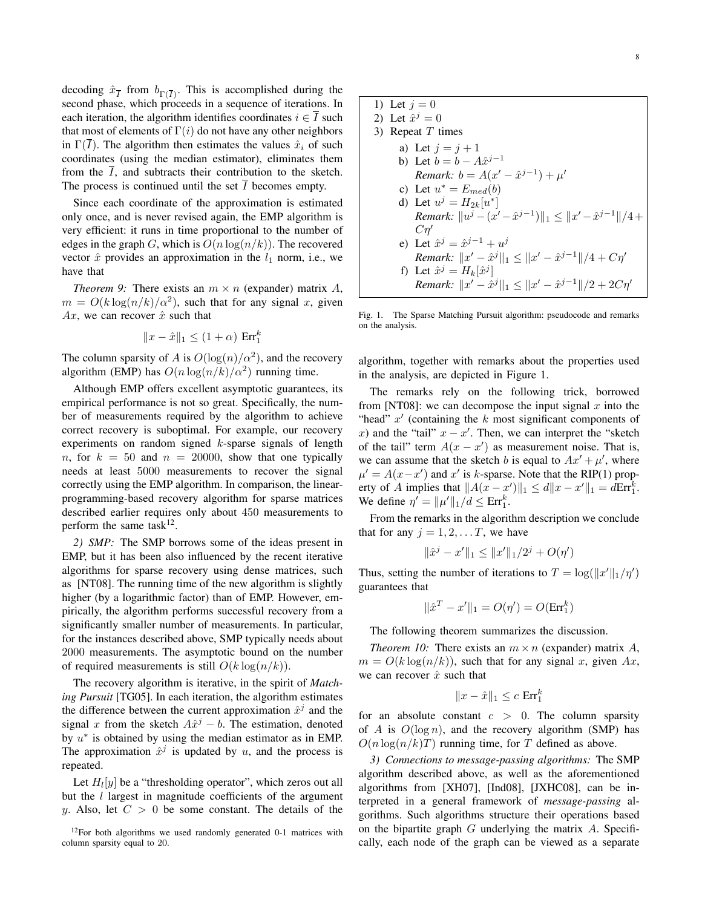decoding  $\hat{x}_{\overline{I}}$  from  $b_{\Gamma(\overline{I})}$ . This is accomplished during the second phase, which proceeds in a sequence of iterations. In each iteration, the algorithm identifies coordinates  $i \in I$  such that most of elements of  $\Gamma(i)$  do not have any other neighbors in  $\Gamma(\overline{I})$ . The algorithm then estimates the values  $\hat{x}_i$  of such coordinates (using the median estimator), eliminates them from the I, and subtracts their contribution to the sketch. The process is continued until the set I becomes empty.

Since each coordinate of the approximation is estimated only once, and is never revised again, the EMP algorithm is very efficient: it runs in time proportional to the number of edges in the graph G, which is  $O(n \log(n/k))$ . The recovered vector  $\hat{x}$  provides an approximation in the  $l_1$  norm, i.e., we have that

*Theorem 9:* There exists an  $m \times n$  (expander) matrix A,  $m = O(k \log(n/k)/\alpha^2)$ , such that for any signal x, given Ax, we can recover  $\hat{x}$  such that

$$
||x - \hat{x}||_1 \le (1 + \alpha) \operatorname{Err}_1^k
$$

The column sparsity of A is  $O(\log(n)/\alpha^2)$ , and the recovery algorithm (EMP) has  $O(n \log(n/k)/\alpha^2)$  running time.

Although EMP offers excellent asymptotic guarantees, its empirical performance is not so great. Specifically, the number of measurements required by the algorithm to achieve correct recovery is suboptimal. For example, our recovery experiments on random signed  $k$ -sparse signals of length n, for  $k = 50$  and  $n = 20000$ , show that one typically needs at least 5000 measurements to recover the signal correctly using the EMP algorithm. In comparison, the linearprogramming-based recovery algorithm for sparse matrices described earlier requires only about 450 measurements to perform the same task $^{12}$ .

*2) SMP:* The SMP borrows some of the ideas present in EMP, but it has been also influenced by the recent iterative algorithms for sparse recovery using dense matrices, such as [NT08]. The running time of the new algorithm is slightly higher (by a logarithmic factor) than of EMP. However, empirically, the algorithm performs successful recovery from a significantly smaller number of measurements. In particular, for the instances described above, SMP typically needs about 2000 measurements. The asymptotic bound on the number of required measurements is still  $O(k \log(n/k))$ .

The recovery algorithm is iterative, in the spirit of *Matching Pursuit* [TG05]. In each iteration, the algorithm estimates the difference between the current approximation  $\hat{x}^j$  and the signal x from the sketch  $A\hat{x}^j - b$ . The estimation, denoted by  $u^*$  is obtained by using the median estimator as in EMP. The approximation  $\hat{x}^j$  is updated by u, and the process is repeated.

Let  $H_l[y]$  be a "thresholding operator", which zeros out all but the  $l$  largest in magnitude coefficients of the argument y. Also, let  $C > 0$  be some constant. The details of the

1) Let 
$$
j = 0
$$
  
\n2) Let  $\hat{x}^j = 0$   
\n3) Repeat *T* times  
\n**a**) Let  $j = j + 1$   
\n**b**) Let  $b = b - A\hat{x}^{j-1}$   
\n*Remark:*  $b = A(x' - \hat{x}^{j-1}) + \mu'$   
\n**c**) Let  $u^* = E_{med}(b)$   
\n**d**) Let  $u^j = H_{2k}[u^*]$   
\n*Remark:*  $||u^j - (x' - \hat{x}^{j-1})||_1 \le ||x' - \hat{x}^{j-1}||/4 + C\eta'$   
\n**e**) Let  $\hat{x}^j = \hat{x}^{j-1} + u^j$   
\n*Remark:*  $||x' - \hat{x}^j||_1 \le ||x' - \hat{x}^{j-1}||/4 + C\eta'$   
\n**f**) Let  $\hat{x}^j = H_k[\hat{x}^j]$   
\n*Remark:*  $||x' - \hat{x}^j||_1 \le ||x' - \hat{x}^{j-1}||/2 + 2C\eta'$ 

Fig. 1. The Sparse Matching Pursuit algorithm: pseudocode and remarks on the analysis.

algorithm, together with remarks about the properties used in the analysis, are depicted in Figure 1.

The remarks rely on the following trick, borrowed from [NT08]: we can decompose the input signal  $x$  into the "head"  $x'$  (containing the  $k$  most significant components of x) and the "tail"  $x - x'$ . Then, we can interpret the "sketch of the tail" term  $A(x - x')$  as measurement noise. That is, we can assume that the sketch b is equal to  $Ax' + \mu'$ , where  $\mu' = A(x - x')$  and x' is k-sparse. Note that the RIP(1) property of A implies that  $||A(x - x')||_1 \le d||x - x'||_1 = d\text{Err}_1^k$ . We define  $\eta' = ||\mu'||_1/d \leq \text{Err}_1^k$ .

From the remarks in the algorithm description we conclude that for any  $j = 1, 2, \ldots T$ , we have

$$
\|\hat{x}^j - x'\|_1 \le \|x'\|_1/2^j + O(\eta')
$$

Thus, setting the number of iterations to  $T = \log(||x'||_1/\eta')$ guarantees that

$$
\|\hat{x}^T - x'\|_1 = O(\eta') = O(\text{Err}_1^k)
$$

The following theorem summarizes the discussion.

*Theorem 10:* There exists an  $m \times n$  (expander) matrix A,  $m = O(k \log(n/k))$ , such that for any signal x, given Ax, we can recover  $\hat{x}$  such that

$$
||x - \hat{x}||_1 \leq c \operatorname{Err}_1^k
$$

for an absolute constant  $c > 0$ . The column sparsity of A is  $O(\log n)$ , and the recovery algorithm (SMP) has  $O(n \log(n/k)T)$  running time, for T defined as above.

*3) Connections to message-passing algorithms:* The SMP algorithm described above, as well as the aforementioned algorithms from [XH07], [Ind08], [JXHC08], can be interpreted in a general framework of *message-passing* algorithms. Such algorithms structure their operations based on the bipartite graph  $G$  underlying the matrix  $A$ . Specifically, each node of the graph can be viewed as a separate

<sup>&</sup>lt;sup>12</sup>For both algorithms we used randomly generated 0-1 matrices with column sparsity equal to 20.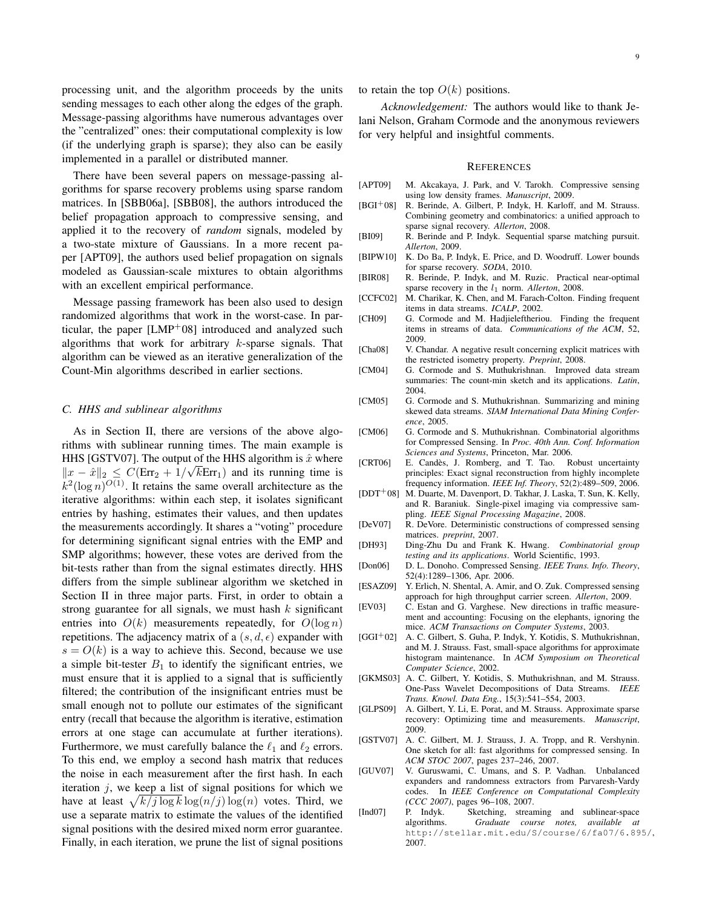processing unit, and the algorithm proceeds by the units sending messages to each other along the edges of the graph. Message-passing algorithms have numerous advantages over the "centralized" ones: their computational complexity is low (if the underlying graph is sparse); they also can be easily implemented in a parallel or distributed manner.

There have been several papers on message-passing algorithms for sparse recovery problems using sparse random matrices. In [SBB06a], [SBB08], the authors introduced the belief propagation approach to compressive sensing, and applied it to the recovery of *random* signals, modeled by a two-state mixture of Gaussians. In a more recent paper [APT09], the authors used belief propagation on signals modeled as Gaussian-scale mixtures to obtain algorithms with an excellent empirical performance.

Message passing framework has been also used to design randomized algorithms that work in the worst-case. In particular, the paper  $[LMP<sup>+</sup>08]$  introduced and analyzed such algorithms that work for arbitrary  $k$ -sparse signals. That algorithm can be viewed as an iterative generalization of the Count-Min algorithms described in earlier sections.

## *C. HHS and sublinear algorithms*

As in Section II, there are versions of the above algorithms with sublinear running times. The main example is HHS [GSTV07]. The output of the HHS algorithm is  $\hat{x}$  where  $||x - \hat{x}||_2 \leq C(\text{Err}_2 + 1/\sqrt{k\text{Err}_1})$  and its running time is  $k^2(\log n)^{O(1)}$ . It retains the same overall architecture as the iterative algorithms: within each step, it isolates significant entries by hashing, estimates their values, and then updates the measurements accordingly. It shares a "voting" procedure for determining significant signal entries with the EMP and SMP algorithms; however, these votes are derived from the bit-tests rather than from the signal estimates directly. HHS differs from the simple sublinear algorithm we sketched in Section II in three major parts. First, in order to obtain a strong guarantee for all signals, we must hash  $k$  significant entries into  $O(k)$  measurements repeatedly, for  $O(\log n)$ repetitions. The adjacency matrix of a  $(s, d, \epsilon)$  expander with  $s = O(k)$  is a way to achieve this. Second, because we use a simple bit-tester  $B_1$  to identify the significant entries, we must ensure that it is applied to a signal that is sufficiently filtered; the contribution of the insignificant entries must be small enough not to pollute our estimates of the significant entry (recall that because the algorithm is iterative, estimation errors at one stage can accumulate at further iterations). Furthermore, we must carefully balance the  $\ell_1$  and  $\ell_2$  errors. To this end, we employ a second hash matrix that reduces the noise in each measurement after the first hash. In each iteration  $j$ , we keep a list of signal positions for which we have at least  $\sqrt{k/j \log k} \log(n/j) \log(n)$  votes. Third, we use a separate matrix to estimate the values of the identified signal positions with the desired mixed norm error guarantee. Finally, in each iteration, we prune the list of signal positions

to retain the top  $O(k)$  positions.

*Acknowledgement:* The authors would like to thank Jelani Nelson, Graham Cormode and the anonymous reviewers for very helpful and insightful comments.

#### **REFERENCES**

- [APT09] M. Akcakaya, J. Park, and V. Tarokh. Compressive sensing using low density frames. *Manuscript*, 2009.
- [BGI<sup>+</sup>08] R. Berinde, A. Gilbert, P. Indyk, H. Karloff, and M. Strauss. Combining geometry and combinatorics: a unified approach to sparse signal recovery. *Allerton*, 2008.
- [BI09] R. Berinde and P. Indyk. Sequential sparse matching pursuit. *Allerton*, 2009.
- [BIPW10] K. Do Ba, P. Indyk, E. Price, and D. Woodruff. Lower bounds for sparse recovery. *SODA*, 2010.
- [BIR08] R. Berinde, P. Indyk, and M. Ruzic. Practical near-optimal sparse recovery in the  $l_1$  norm. *Allerton*, 2008.
- [CCFC02] M. Charikar, K. Chen, and M. Farach-Colton. Finding frequent items in data streams. *ICALP*, 2002.
- [CH09] G. Cormode and M. Hadjieleftheriou. Finding the frequent items in streams of data. *Communications of the ACM*, 52, 2009.
- [Cha08] V. Chandar. A negative result concerning explicit matrices with the restricted isometry property. *Preprint*, 2008.
- [CM04] G. Cormode and S. Muthukrishnan. Improved data stream summaries: The count-min sketch and its applications. *Latin*, 2004.
- [CM05] G. Cormode and S. Muthukrishnan. Summarizing and mining skewed data streams. *SIAM International Data Mining Conference*, 2005.
- [CM06] G. Cormode and S. Muthukrishnan. Combinatorial algorithms for Compressed Sensing. In *Proc. 40th Ann. Conf. Information Sciences and Systems*, Princeton, Mar. 2006.
- [CRT06] E. Candès, J. Romberg, and T. Tao. principles: Exact signal reconstruction from highly incomplete frequency information. *IEEE Inf. Theory*, 52(2):489–509, 2006.
- [DDT<sup>+</sup>08] M. Duarte, M. Davenport, D. Takhar, J. Laska, T. Sun, K. Kelly, and R. Baraniuk. Single-pixel imaging via compressive sampling. *IEEE Signal Processing Magazine*, 2008.
- [DeV07] R. DeVore. Deterministic constructions of compressed sensing matrices. *preprint*, 2007.
- [DH93] Ding-Zhu Du and Frank K. Hwang. *Combinatorial group testing and its applications*. World Scientific, 1993.
- [Don06] D. L. Donoho. Compressed Sensing. *IEEE Trans. Info. Theory*, 52(4):1289–1306, Apr. 2006.
- [ESAZ09] Y. Erlich, N. Shental, A. Amir, and O. Zuk. Compressed sensing approach for high throughput carrier screen. *Allerton*, 2009.
- [EV03] C. Estan and G. Varghese. New directions in traffic measurement and accounting: Focusing on the elephants, ignoring the mice. *ACM Transactions on Computer Systems*, 2003.
- [GGI+02] A. C. Gilbert, S. Guha, P. Indyk, Y. Kotidis, S. Muthukrishnan, and M. J. Strauss. Fast, small-space algorithms for approximate histogram maintenance. In *ACM Symposium on Theoretical Computer Science*, 2002.
- [GKMS03] A. C. Gilbert, Y. Kotidis, S. Muthukrishnan, and M. Strauss. One-Pass Wavelet Decompositions of Data Streams. *IEEE Trans. Knowl. Data Eng.*, 15(3):541–554, 2003.
- [GLPS09] A. Gilbert, Y. Li, E. Porat, and M. Strauss. Approximate sparse recovery: Optimizing time and measurements. *Manuscript*, 2009.
- [GSTV07] A. C. Gilbert, M. J. Strauss, J. A. Tropp, and R. Vershynin. One sketch for all: fast algorithms for compressed sensing. In *ACM STOC 2007*, pages 237–246, 2007.
- [GUV07] V. Guruswami, C. Umans, and S. P. Vadhan. Unbalanced expanders and randomness extractors from Parvaresh-Vardy codes. In *IEEE Conference on Computational Complexity (CCC 2007)*, pages 96–108, 2007.
- [Ind07] P. Indyk. Sketching, streaming and sublinear-space algorithms. *Graduate course notes, available at* http://stellar.mit.edu/S/course/6/fa07/6.895/, 2007.